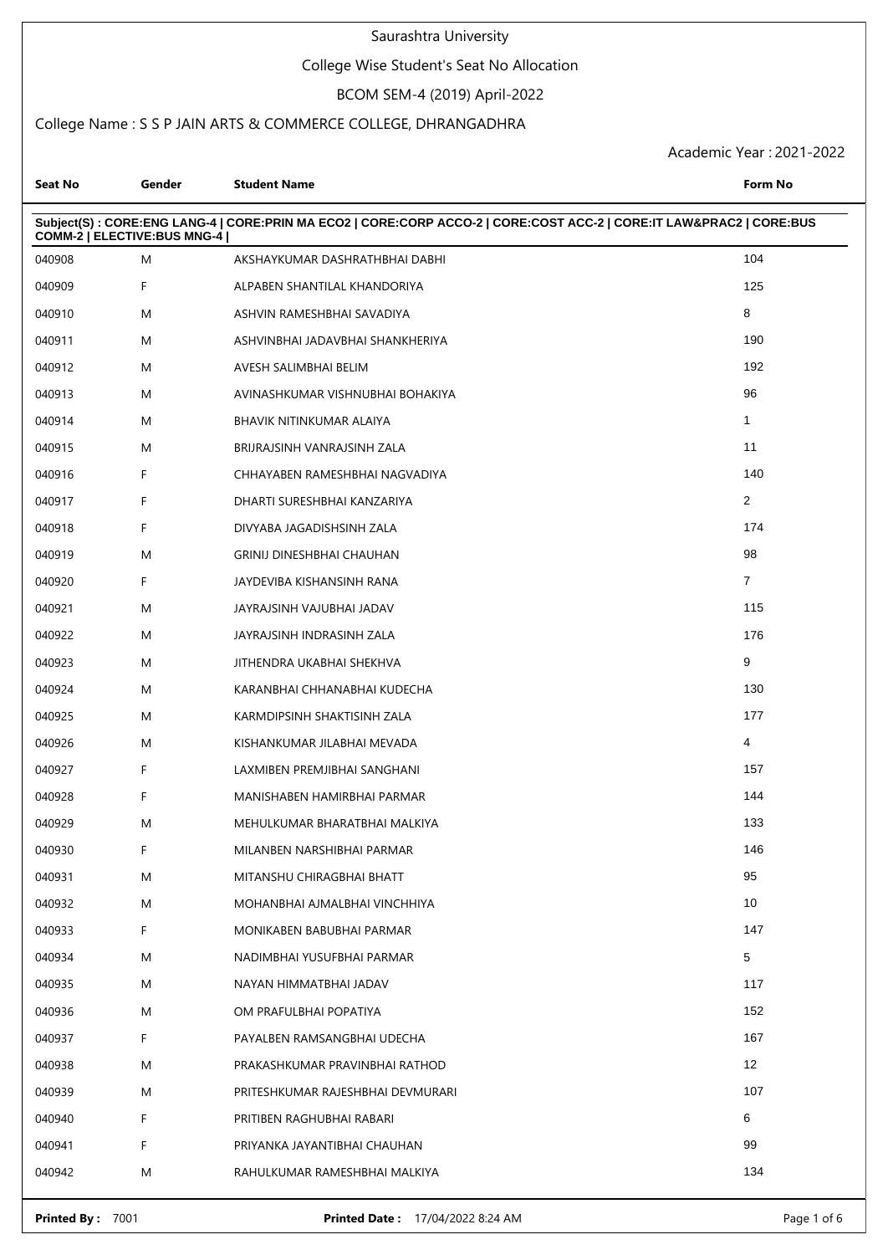#### College Wise Student's Seat No Allocation

# BCOM SEM-4 (2019) April-2022

### College Name : S S P JAIN ARTS & COMMERCE COLLEGE, DHRANGADHRA

| <b>Seat No</b>              | Gender | <b>Student Name</b>                                                                                                 | Form No        |
|-----------------------------|--------|---------------------------------------------------------------------------------------------------------------------|----------------|
| COMM-2   ELECTIVE:BUS MNG-4 |        | Subject(S): CORE:ENG LANG-4   CORE:PRIN MA ECO2   CORE:CORP ACCO-2   CORE:COST ACC-2   CORE:IT LAW&PRAC2   CORE:BUS |                |
| 040908                      | M      | AKSHAYKUMAR DASHRATHBHAI DABHI                                                                                      | 104            |
| 040909                      | F      | ALPABEN SHANTILAL KHANDORIYA                                                                                        | 125            |
| 040910                      | M      | ASHVIN RAMESHBHAI SAVADIYA                                                                                          | 8              |
| 040911                      | M      | ASHVINBHAI JADAVBHAI SHANKHERIYA                                                                                    | 190            |
| 040912                      | M      | AVESH SALIMBHAI BELIM                                                                                               | 192            |
| 040913                      | M      | AVINASHKUMAR VISHNUBHAI BOHAKIYA                                                                                    | 96             |
| 040914                      | M      | BHAVIK NITINKUMAR ALAIYA                                                                                            | $\mathbf{1}$   |
| 040915                      | M      | BRIJRAJSINH VANRAJSINH ZALA                                                                                         | 11             |
| 040916                      | F      | CHHAYABEN RAMESHBHAI NAGVADIYA                                                                                      | 140            |
| 040917                      | F      | DHARTI SURESHBHAI KANZARIYA                                                                                         | 2              |
| 040918                      | F      | DIVYABA JAGADISHSINH ZALA                                                                                           | 174            |
| 040919                      | M      | <b>GRINIJ DINESHBHAI CHAUHAN</b>                                                                                    | 98             |
| 040920                      | F      | JAYDEVIBA KISHANSINH RANA                                                                                           | $\overline{7}$ |
| 040921                      | M      | JAYRAJSINH VAJUBHAI JADAV                                                                                           | 115            |
| 040922                      | M      | JAYRAJSINH INDRASINH ZALA                                                                                           | 176            |
| 040923                      | M      | JITHENDRA UKABHAI SHEKHVA                                                                                           | 9              |
| 040924                      | M      | KARANBHAI CHHANABHAI KUDECHA                                                                                        | 130            |
| 040925                      | M      | KARMDIPSINH SHAKTISINH ZALA                                                                                         | 177            |
| 040926                      | M      | KISHANKUMAR JILABHAI MEVADA                                                                                         | 4              |
| 040927                      | F      | LAXMIBEN PREMJIBHAI SANGHANI                                                                                        | 157            |
| 040928                      | F      | MANISHABEN HAMIRBHAI PARMAR                                                                                         | 144            |
| 040929                      | M      | MEHULKUMAR BHARATBHAI MALKIYA                                                                                       | 133            |
| 040930                      | F      | MILANBEN NARSHIBHAI PARMAR                                                                                          | 146            |
| 040931                      | M      | MITANSHU CHIRAGBHAI BHATT                                                                                           | 95             |
| 040932                      | M      | MOHANBHAI AJMALBHAI VINCHHIYA                                                                                       | 10             |
| 040933                      | F.     | MONIKABEN BABUBHAI PARMAR                                                                                           | 147            |
| 040934                      | M      | NADIMBHAI YUSUFBHAI PARMAR                                                                                          | 5              |
| 040935                      | M      | NAYAN HIMMATBHAI JADAV                                                                                              | 117            |
| 040936                      | M      | OM PRAFULBHAI POPATIYA                                                                                              | 152            |
| 040937                      | F      | PAYALBEN RAMSANGBHAI UDECHA                                                                                         | 167            |
| 040938                      | M      | PRAKASHKUMAR PRAVINBHAI RATHOD                                                                                      | 12             |
| 040939                      | M      | PRITESHKUMAR RAJESHBHAI DEVMURARI                                                                                   | 107            |
| 040940                      | F      | PRITIBEN RAGHUBHAI RABARI                                                                                           | 6              |
| 040941                      | F      | PRIYANKA JAYANTIBHAI CHAUHAN                                                                                        | 99             |
| 040942                      | M      | RAHULKUMAR RAMESHBHAI MALKIYA                                                                                       | 134            |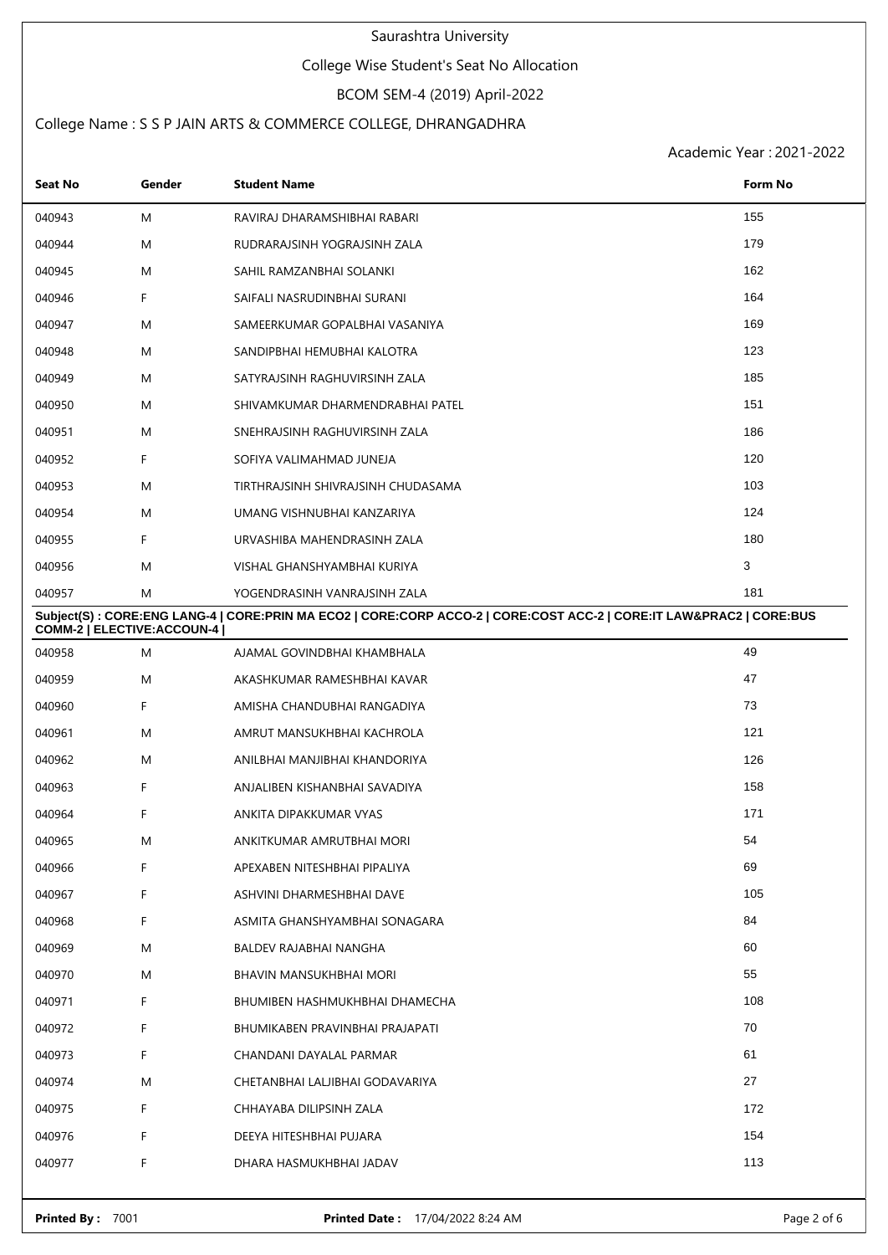#### College Wise Student's Seat No Allocation

# BCOM SEM-4 (2019) April-2022

### College Name : S S P JAIN ARTS & COMMERCE COLLEGE, DHRANGADHRA

| <b>Seat No</b>              | Gender | <b>Student Name</b>                                                                                                 | Form No |
|-----------------------------|--------|---------------------------------------------------------------------------------------------------------------------|---------|
| 040943                      | M      | RAVIRAJ DHARAMSHIBHAI RABARI                                                                                        | 155     |
| 040944                      | M      | RUDRARAJSINH YOGRAJSINH ZALA                                                                                        | 179     |
| 040945                      | M      | SAHIL RAMZANBHAI SOLANKI                                                                                            | 162     |
| 040946                      | F      | SAIFALI NASRUDINBHAI SURANI                                                                                         | 164     |
| 040947                      | M      | SAMEERKUMAR GOPALBHAI VASANIYA                                                                                      | 169     |
| 040948                      | M      | SANDIPBHAI HEMUBHAI KALOTRA                                                                                         | 123     |
| 040949                      | M      | SATYRAJSINH RAGHUVIRSINH ZALA                                                                                       | 185     |
| 040950                      | M      | SHIVAMKUMAR DHARMENDRABHAI PATEL                                                                                    | 151     |
| 040951                      | M      | SNEHRAJSINH RAGHUVIRSINH ZALA                                                                                       | 186     |
| 040952                      | F      | SOFIYA VALIMAHMAD JUNEJA                                                                                            | 120     |
| 040953                      | M      | TIRTHRAJSINH SHIVRAJSINH CHUDASAMA                                                                                  | 103     |
| 040954                      | M      | UMANG VISHNUBHAI KANZARIYA                                                                                          | 124     |
| 040955                      | F      | URVASHIBA MAHENDRASINH ZALA                                                                                         | 180     |
| 040956                      | M      | VISHAL GHANSHYAMBHAI KURIYA                                                                                         | 3       |
| 040957                      | M      | YOGENDRASINH VANRAJSINH ZALA                                                                                        | 181     |
| COMM-2   ELECTIVE: ACCOUN-4 |        | Subject(S): CORE:ENG LANG-4   CORE:PRIN MA ECO2   CORE:CORP ACCO-2   CORE:COST ACC-2   CORE:IT LAW&PRAC2   CORE:BUS |         |
| 040958                      | M      | AJAMAL GOVINDBHAI KHAMBHALA                                                                                         | 49      |
| 040959                      | M      | AKASHKUMAR RAMESHBHAI KAVAR                                                                                         | 47      |
| 040960                      | F      | AMISHA CHANDUBHAI RANGADIYA                                                                                         | 73      |
| 040961                      | M      | AMRUT MANSUKHBHAI KACHROLA                                                                                          | 121     |
| 040962                      | M      | ANILBHAI MANJIBHAI KHANDORIYA                                                                                       | 126     |
| 040963                      | F      | ANJALIBEN KISHANBHAI SAVADIYA                                                                                       | 158     |
| 040964                      | F      | ANKITA DIPAKKUMAR VYAS                                                                                              | 171     |
| 040965                      | M      | ANKITKUMAR AMRUTBHAI MORI                                                                                           | 54      |
| 040966                      | F      | APEXABEN NITESHBHAI PIPALIYA                                                                                        | 69      |
| 040967                      | F      | ASHVINI DHARMESHBHAI DAVE                                                                                           | 105     |
| 040968                      | F.     | ASMITA GHANSHYAMBHAI SONAGARA                                                                                       | 84      |
| 040969                      | M      | BALDEV RAJABHAI NANGHA                                                                                              | 60      |
| 040970                      | M      | BHAVIN MANSUKHBHAI MORI                                                                                             | 55      |
| 040971                      | F      | BHUMIBEN HASHMUKHBHAI DHAMECHA                                                                                      | 108     |
| 040972                      | F.     | BHUMIKABEN PRAVINBHAI PRAJAPATI                                                                                     | 70      |
| 040973                      | F.     | CHANDANI DAYALAL PARMAR                                                                                             | 61      |
| 040974                      | M      | CHETANBHAI LALJIBHAI GODAVARIYA                                                                                     | 27      |
| 040975                      | F.     | CHHAYABA DILIPSINH ZALA                                                                                             | 172     |
| 040976                      | F.     | DEEYA HITESHBHAI PUJARA                                                                                             | 154     |
| 040977                      | F      | DHARA HASMUKHBHAI JADAV                                                                                             | 113     |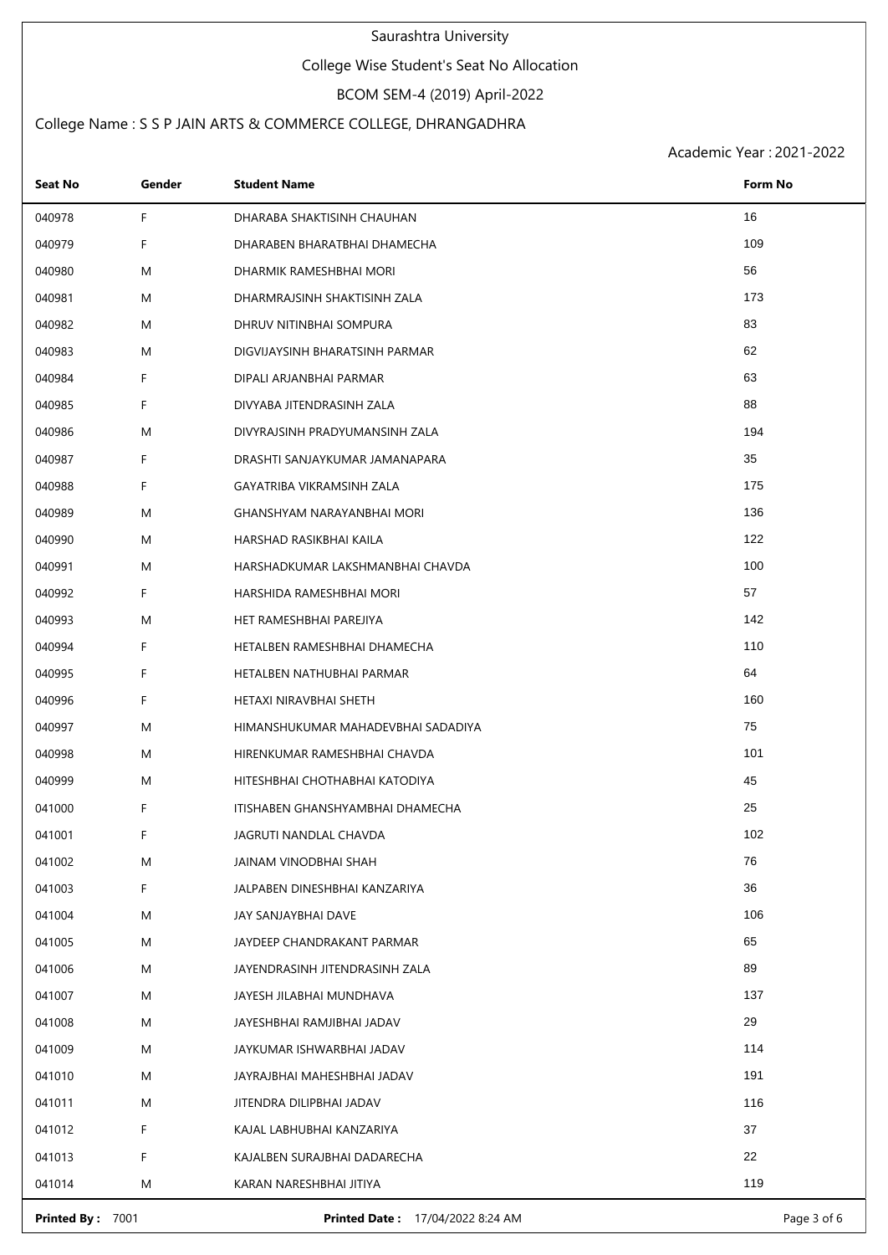#### College Wise Student's Seat No Allocation

# BCOM SEM-4 (2019) April-2022

### College Name : S S P JAIN ARTS & COMMERCE COLLEGE, DHRANGADHRA

Academic Year : 2021-2022

| Seat No | Gender | <b>Student Name</b>                | Form No |
|---------|--------|------------------------------------|---------|
| 040978  | F      | DHARABA SHAKTISINH CHAUHAN         | 16      |
| 040979  | F      | DHARABEN BHARATBHAI DHAMECHA       | 109     |
| 040980  | M      | DHARMIK RAMESHBHAI MORI            | 56      |
| 040981  | M      | DHARMRAJSINH SHAKTISINH ZALA       | 173     |
| 040982  | M      | DHRUV NITINBHAI SOMPURA            | 83      |
| 040983  | M      | DIGVIJAYSINH BHARATSINH PARMAR     | 62      |
| 040984  | F      | DIPALI ARJANBHAI PARMAR            | 63      |
| 040985  | F      | DIVYABA JITENDRASINH ZALA          | 88      |
| 040986  | M      | DIVYRAJSINH PRADYUMANSINH ZALA     | 194     |
| 040987  | F      | DRASHTI SANJAYKUMAR JAMANAPARA     | 35      |
| 040988  | F      | GAYATRIBA VIKRAMSINH ZALA          | 175     |
| 040989  | M      | GHANSHYAM NARAYANBHAI MORI         | 136     |
| 040990  | M      | HARSHAD RASIKBHAI KAILA            | 122     |
| 040991  | M      | HARSHADKUMAR LAKSHMANBHAI CHAVDA   | 100     |
| 040992  | F      | HARSHIDA RAMESHBHAI MORI           | 57      |
| 040993  | M      | HET RAMESHBHAI PAREJIYA            | 142     |
| 040994  | F      | HETALBEN RAMESHBHAI DHAMECHA       | 110     |
| 040995  | F      | HETALBEN NATHUBHAI PARMAR          | 64      |
| 040996  | F      | HETAXI NIRAVBHAI SHETH             | 160     |
| 040997  | M      | HIMANSHUKUMAR MAHADEVBHAI SADADIYA | 75      |
| 040998  | M      | HIRENKUMAR RAMESHBHAI CHAVDA       | 101     |
| 040999  | M      | HITESHBHAI CHOTHABHAI KATODIYA     | 45      |
| 041000  | F      | ITISHABEN GHANSHYAMBHAI DHAMECHA   | 25      |
| 041001  | F      | JAGRUTI NANDLAL CHAVDA             | 102     |
| 041002  | M      | JAINAM VINODBHAI SHAH              | 76      |
| 041003  | F      | JALPABEN DINESHBHAI KANZARIYA      | 36      |
| 041004  | M      | JAY SANJAYBHAI DAVE                | 106     |
| 041005  | M      | JAYDEEP CHANDRAKANT PARMAR         | 65      |
| 041006  | M      | JAYENDRASINH JITENDRASINH ZALA     | 89      |
| 041007  | M      | JAYESH JILABHAI MUNDHAVA           | 137     |
| 041008  | M      | JAYESHBHAI RAMJIBHAI JADAV         | 29      |
| 041009  | M      | JAYKUMAR ISHWARBHAI JADAV          | 114     |
| 041010  | M      | JAYRAJBHAI MAHESHBHAI JADAV        | 191     |
| 041011  | M      | JITENDRA DILIPBHAI JADAV           | 116     |
| 041012  | F      | KAJAL LABHUBHAI KANZARIYA          | 37      |
| 041013  | F      | KAJALBEN SURAJBHAI DADARECHA       | 22      |
| 041014  | M      | KARAN NARESHBHAI JITIYA            | 119     |

**Printed By :** 7001 **Printed Date :** 17/04/2022 8:24 AM Page 3 of 6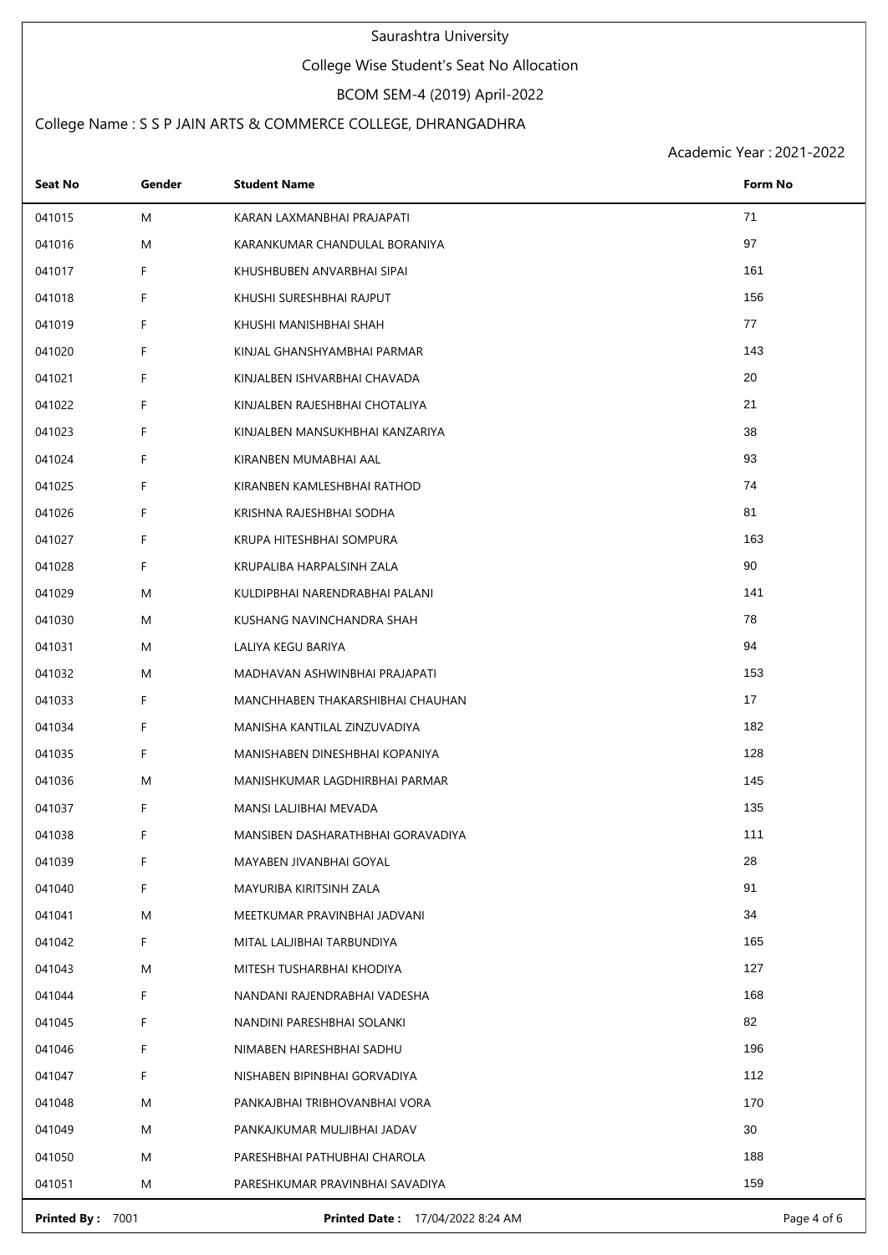#### College Wise Student's Seat No Allocation

# BCOM SEM-4 (2019) April-2022

### College Name : S S P JAIN ARTS & COMMERCE COLLEGE, DHRANGADHRA

Academic Year : 2021-2022

| Seat No | Gender | <b>Student Name</b>               | Form No |
|---------|--------|-----------------------------------|---------|
| 041015  | M      | KARAN LAXMANBHAI PRAJAPATI        | 71      |
| 041016  | M      | KARANKUMAR CHANDULAL BORANIYA     | 97      |
| 041017  | F      | KHUSHBUBEN ANVARBHAI SIPAI        | 161     |
| 041018  | F      | KHUSHI SURESHBHAI RAJPUT          | 156     |
| 041019  | F      | KHUSHI MANISHBHAI SHAH            | 77      |
| 041020  | F      | KINJAL GHANSHYAMBHAI PARMAR       | 143     |
| 041021  | F      | KINJALBEN ISHVARBHAI CHAVADA      | 20      |
| 041022  | F      | KINJALBEN RAJESHBHAI CHOTALIYA    | 21      |
| 041023  | F      | KINJALBEN MANSUKHBHAI KANZARIYA   | 38      |
| 041024  | F      | KIRANBEN MUMABHAI AAL             | 93      |
| 041025  | F      | KIRANBEN KAMLESHBHAI RATHOD       | 74      |
| 041026  | F      | KRISHNA RAJESHBHAI SODHA          | 81      |
| 041027  | F      | KRUPA HITESHBHAI SOMPURA          | 163     |
| 041028  | F      | KRUPALIBA HARPALSINH ZALA         | 90      |
| 041029  | M      | KULDIPBHAI NARENDRABHAI PALANI    | 141     |
| 041030  | M      | KUSHANG NAVINCHANDRA SHAH         | 78      |
| 041031  | M      | LALIYA KEGU BARIYA                | 94      |
| 041032  | M      | MADHAVAN ASHWINBHAI PRAJAPATI     | 153     |
| 041033  | F      | MANCHHABEN THAKARSHIBHAI CHAUHAN  | 17      |
| 041034  | F      | MANISHA KANTILAL ZINZUVADIYA      | 182     |
| 041035  | F      | MANISHABEN DINESHBHAI KOPANIYA    | 128     |
| 041036  | M      | MANISHKUMAR LAGDHIRBHAI PARMAR    | 145     |
| 041037  | F      | MANSI LALJIBHAI MEVADA            | 135     |
| 041038  | F      | MANSIBEN DASHARATHBHAI GORAVADIYA | 111     |
| 041039  | F      | MAYABEN JIVANBHAI GOYAL           | 28      |
| 041040  | F      | MAYURIBA KIRITSINH ZALA           | 91      |
| 041041  | M      | MEETKUMAR PRAVINBHAI JADVANI      | 34      |
| 041042  | F      | MITAL LALJIBHAI TARBUNDIYA        | 165     |
| 041043  | M      | MITESH TUSHARBHAI KHODIYA         | 127     |
| 041044  | F      | NANDANI RAJENDRABHAI VADESHA      | 168     |
| 041045  | F      | NANDINI PARESHBHAI SOLANKI        | 82      |
| 041046  | F      | NIMABEN HARESHBHAI SADHU          | 196     |
| 041047  | F      | NISHABEN BIPINBHAI GORVADIYA      | 112     |
| 041048  | M      | PANKAJBHAI TRIBHOVANBHAI VORA     | 170     |
| 041049  | M      | PANKAJKUMAR MULJIBHAI JADAV       | 30      |
| 041050  | M      | PARESHBHAI PATHUBHAI CHAROLA      | 188     |
| 041051  | M      | PARESHKUMAR PRAVINBHAI SAVADIYA   | 159     |

**Printed By :** 7001 **Printed Date :** 17/04/2022 8:24 AM Page 4 of 6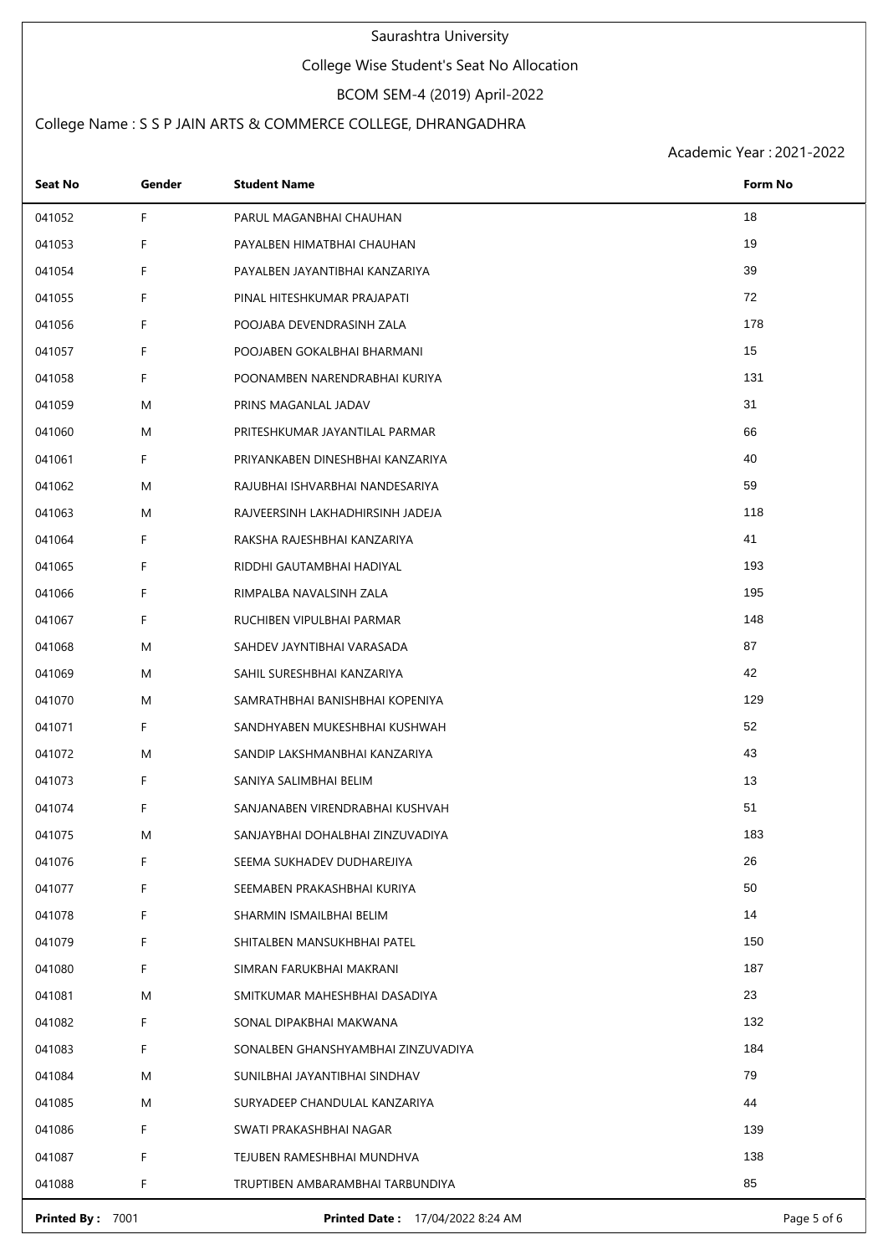#### College Wise Student's Seat No Allocation

# BCOM SEM-4 (2019) April-2022

### College Name : S S P JAIN ARTS & COMMERCE COLLEGE, DHRANGADHRA

| 18<br>041052<br>F<br>PARUL MAGANBHAI CHAUHAN<br>19<br>F<br>041053<br>PAYALBEN HIMATBHAI CHAUHAN<br>39<br>041054<br>F<br>PAYALBEN JAYANTIBHAI KANZARIYA<br>72<br>041055<br>F<br>PINAL HITESHKUMAR PRAJAPATI<br>178<br>041056<br>F<br>POOJABA DEVENDRASINH ZALA<br>15<br>041057<br>F<br>POOJABEN GOKALBHAI BHARMANI<br>131<br>041058<br>F<br>POONAMBEN NARENDRABHAI KURIYA<br>31<br>041059<br>M<br>PRINS MAGANLAL JADAV<br>66<br>041060<br>M<br>PRITESHKUMAR JAYANTILAL PARMAR<br>40<br>041061<br>F<br>PRIYANKABEN DINESHBHAI KANZARIYA<br>59<br>041062<br>M<br>RAJUBHAI ISHVARBHAI NANDESARIYA<br>118<br>041063<br>M<br>RAJVEERSINH LAKHADHIRSINH JADEJA<br>41<br>041064<br>F<br>RAKSHA RAJESHBHAI KANZARIYA<br>F<br>193<br>041065<br>RIDDHI GAUTAMBHAI HADIYAL<br>195<br>041066<br>F.<br>RIMPALBA NAVALSINH ZALA<br>F<br>148<br>041067<br>RUCHIBEN VIPULBHAI PARMAR<br>87<br>041068<br>M<br>SAHDEV JAYNTIBHAI VARASADA<br>42<br>041069<br>M<br>SAHIL SURESHBHAI KANZARIYA<br>129<br>041070<br>M<br>SAMRATHBHAI BANISHBHAI KOPENIYA<br>52<br>041071<br>F<br>SANDHYABEN MUKESHBHAI KUSHWAH<br>43<br>041072<br>M<br>SANDIP LAKSHMANBHAI KANZARIYA<br>13<br>041073<br>F.<br>SANIYA SALIMBHAI BELIM<br>51<br>041074<br>F<br>SANJANABEN VIRENDRABHAI KUSHVAH<br>183<br>041075<br>Μ<br>SANJAYBHAI DOHALBHAI ZINZUVADIYA<br>26<br>041076<br>F<br>SEEMA SUKHADEV DUDHAREJIYA<br>50<br>041077<br>F<br>SEEMABEN PRAKASHBHAI KURIYA<br>14<br>041078<br>F<br>SHARMIN ISMAILBHAI BELIM<br>150<br>041079<br>F<br>SHITALBEN MANSUKHBHAI PATEL<br>187<br>041080<br>F<br>SIMRAN FARUKBHAI MAKRANI<br>23<br>M<br>041081<br>SMITKUMAR MAHESHBHAI DASADIYA<br>132<br>041082<br>F<br>SONAL DIPAKBHAI MAKWANA<br>F<br>184<br>041083<br>SONALBEN GHANSHYAMBHAI ZINZUVADIYA<br>79<br>041084<br>M<br>SUNILBHAI JAYANTIBHAI SINDHAV<br>44<br>041085<br>M<br>SURYADEEP CHANDULAL KANZARIYA<br>139<br>041086<br>F<br>SWATI PRAKASHBHAI NAGAR<br>F<br>138<br>041087<br>TEJUBEN RAMESHBHAI MUNDHVA<br>85<br>041088<br>F<br>TRUPTIBEN AMBARAMBHAI TARBUNDIYA | Seat No | Gender | <b>Student Name</b> | Form No |
|------------------------------------------------------------------------------------------------------------------------------------------------------------------------------------------------------------------------------------------------------------------------------------------------------------------------------------------------------------------------------------------------------------------------------------------------------------------------------------------------------------------------------------------------------------------------------------------------------------------------------------------------------------------------------------------------------------------------------------------------------------------------------------------------------------------------------------------------------------------------------------------------------------------------------------------------------------------------------------------------------------------------------------------------------------------------------------------------------------------------------------------------------------------------------------------------------------------------------------------------------------------------------------------------------------------------------------------------------------------------------------------------------------------------------------------------------------------------------------------------------------------------------------------------------------------------------------------------------------------------------------------------------------------------------------------------------------------------------------------------------------------------------------------------------------------------------------------------------------------------------------------------------------------------------------------------------------------------------------------------------------------------------|---------|--------|---------------------|---------|
|                                                                                                                                                                                                                                                                                                                                                                                                                                                                                                                                                                                                                                                                                                                                                                                                                                                                                                                                                                                                                                                                                                                                                                                                                                                                                                                                                                                                                                                                                                                                                                                                                                                                                                                                                                                                                                                                                                                                                                                                                              |         |        |                     |         |
|                                                                                                                                                                                                                                                                                                                                                                                                                                                                                                                                                                                                                                                                                                                                                                                                                                                                                                                                                                                                                                                                                                                                                                                                                                                                                                                                                                                                                                                                                                                                                                                                                                                                                                                                                                                                                                                                                                                                                                                                                              |         |        |                     |         |
|                                                                                                                                                                                                                                                                                                                                                                                                                                                                                                                                                                                                                                                                                                                                                                                                                                                                                                                                                                                                                                                                                                                                                                                                                                                                                                                                                                                                                                                                                                                                                                                                                                                                                                                                                                                                                                                                                                                                                                                                                              |         |        |                     |         |
|                                                                                                                                                                                                                                                                                                                                                                                                                                                                                                                                                                                                                                                                                                                                                                                                                                                                                                                                                                                                                                                                                                                                                                                                                                                                                                                                                                                                                                                                                                                                                                                                                                                                                                                                                                                                                                                                                                                                                                                                                              |         |        |                     |         |
|                                                                                                                                                                                                                                                                                                                                                                                                                                                                                                                                                                                                                                                                                                                                                                                                                                                                                                                                                                                                                                                                                                                                                                                                                                                                                                                                                                                                                                                                                                                                                                                                                                                                                                                                                                                                                                                                                                                                                                                                                              |         |        |                     |         |
|                                                                                                                                                                                                                                                                                                                                                                                                                                                                                                                                                                                                                                                                                                                                                                                                                                                                                                                                                                                                                                                                                                                                                                                                                                                                                                                                                                                                                                                                                                                                                                                                                                                                                                                                                                                                                                                                                                                                                                                                                              |         |        |                     |         |
|                                                                                                                                                                                                                                                                                                                                                                                                                                                                                                                                                                                                                                                                                                                                                                                                                                                                                                                                                                                                                                                                                                                                                                                                                                                                                                                                                                                                                                                                                                                                                                                                                                                                                                                                                                                                                                                                                                                                                                                                                              |         |        |                     |         |
|                                                                                                                                                                                                                                                                                                                                                                                                                                                                                                                                                                                                                                                                                                                                                                                                                                                                                                                                                                                                                                                                                                                                                                                                                                                                                                                                                                                                                                                                                                                                                                                                                                                                                                                                                                                                                                                                                                                                                                                                                              |         |        |                     |         |
|                                                                                                                                                                                                                                                                                                                                                                                                                                                                                                                                                                                                                                                                                                                                                                                                                                                                                                                                                                                                                                                                                                                                                                                                                                                                                                                                                                                                                                                                                                                                                                                                                                                                                                                                                                                                                                                                                                                                                                                                                              |         |        |                     |         |
|                                                                                                                                                                                                                                                                                                                                                                                                                                                                                                                                                                                                                                                                                                                                                                                                                                                                                                                                                                                                                                                                                                                                                                                                                                                                                                                                                                                                                                                                                                                                                                                                                                                                                                                                                                                                                                                                                                                                                                                                                              |         |        |                     |         |
|                                                                                                                                                                                                                                                                                                                                                                                                                                                                                                                                                                                                                                                                                                                                                                                                                                                                                                                                                                                                                                                                                                                                                                                                                                                                                                                                                                                                                                                                                                                                                                                                                                                                                                                                                                                                                                                                                                                                                                                                                              |         |        |                     |         |
|                                                                                                                                                                                                                                                                                                                                                                                                                                                                                                                                                                                                                                                                                                                                                                                                                                                                                                                                                                                                                                                                                                                                                                                                                                                                                                                                                                                                                                                                                                                                                                                                                                                                                                                                                                                                                                                                                                                                                                                                                              |         |        |                     |         |
|                                                                                                                                                                                                                                                                                                                                                                                                                                                                                                                                                                                                                                                                                                                                                                                                                                                                                                                                                                                                                                                                                                                                                                                                                                                                                                                                                                                                                                                                                                                                                                                                                                                                                                                                                                                                                                                                                                                                                                                                                              |         |        |                     |         |
|                                                                                                                                                                                                                                                                                                                                                                                                                                                                                                                                                                                                                                                                                                                                                                                                                                                                                                                                                                                                                                                                                                                                                                                                                                                                                                                                                                                                                                                                                                                                                                                                                                                                                                                                                                                                                                                                                                                                                                                                                              |         |        |                     |         |
|                                                                                                                                                                                                                                                                                                                                                                                                                                                                                                                                                                                                                                                                                                                                                                                                                                                                                                                                                                                                                                                                                                                                                                                                                                                                                                                                                                                                                                                                                                                                                                                                                                                                                                                                                                                                                                                                                                                                                                                                                              |         |        |                     |         |
|                                                                                                                                                                                                                                                                                                                                                                                                                                                                                                                                                                                                                                                                                                                                                                                                                                                                                                                                                                                                                                                                                                                                                                                                                                                                                                                                                                                                                                                                                                                                                                                                                                                                                                                                                                                                                                                                                                                                                                                                                              |         |        |                     |         |
|                                                                                                                                                                                                                                                                                                                                                                                                                                                                                                                                                                                                                                                                                                                                                                                                                                                                                                                                                                                                                                                                                                                                                                                                                                                                                                                                                                                                                                                                                                                                                                                                                                                                                                                                                                                                                                                                                                                                                                                                                              |         |        |                     |         |
|                                                                                                                                                                                                                                                                                                                                                                                                                                                                                                                                                                                                                                                                                                                                                                                                                                                                                                                                                                                                                                                                                                                                                                                                                                                                                                                                                                                                                                                                                                                                                                                                                                                                                                                                                                                                                                                                                                                                                                                                                              |         |        |                     |         |
|                                                                                                                                                                                                                                                                                                                                                                                                                                                                                                                                                                                                                                                                                                                                                                                                                                                                                                                                                                                                                                                                                                                                                                                                                                                                                                                                                                                                                                                                                                                                                                                                                                                                                                                                                                                                                                                                                                                                                                                                                              |         |        |                     |         |
|                                                                                                                                                                                                                                                                                                                                                                                                                                                                                                                                                                                                                                                                                                                                                                                                                                                                                                                                                                                                                                                                                                                                                                                                                                                                                                                                                                                                                                                                                                                                                                                                                                                                                                                                                                                                                                                                                                                                                                                                                              |         |        |                     |         |
|                                                                                                                                                                                                                                                                                                                                                                                                                                                                                                                                                                                                                                                                                                                                                                                                                                                                                                                                                                                                                                                                                                                                                                                                                                                                                                                                                                                                                                                                                                                                                                                                                                                                                                                                                                                                                                                                                                                                                                                                                              |         |        |                     |         |
|                                                                                                                                                                                                                                                                                                                                                                                                                                                                                                                                                                                                                                                                                                                                                                                                                                                                                                                                                                                                                                                                                                                                                                                                                                                                                                                                                                                                                                                                                                                                                                                                                                                                                                                                                                                                                                                                                                                                                                                                                              |         |        |                     |         |
|                                                                                                                                                                                                                                                                                                                                                                                                                                                                                                                                                                                                                                                                                                                                                                                                                                                                                                                                                                                                                                                                                                                                                                                                                                                                                                                                                                                                                                                                                                                                                                                                                                                                                                                                                                                                                                                                                                                                                                                                                              |         |        |                     |         |
|                                                                                                                                                                                                                                                                                                                                                                                                                                                                                                                                                                                                                                                                                                                                                                                                                                                                                                                                                                                                                                                                                                                                                                                                                                                                                                                                                                                                                                                                                                                                                                                                                                                                                                                                                                                                                                                                                                                                                                                                                              |         |        |                     |         |
|                                                                                                                                                                                                                                                                                                                                                                                                                                                                                                                                                                                                                                                                                                                                                                                                                                                                                                                                                                                                                                                                                                                                                                                                                                                                                                                                                                                                                                                                                                                                                                                                                                                                                                                                                                                                                                                                                                                                                                                                                              |         |        |                     |         |
|                                                                                                                                                                                                                                                                                                                                                                                                                                                                                                                                                                                                                                                                                                                                                                                                                                                                                                                                                                                                                                                                                                                                                                                                                                                                                                                                                                                                                                                                                                                                                                                                                                                                                                                                                                                                                                                                                                                                                                                                                              |         |        |                     |         |
|                                                                                                                                                                                                                                                                                                                                                                                                                                                                                                                                                                                                                                                                                                                                                                                                                                                                                                                                                                                                                                                                                                                                                                                                                                                                                                                                                                                                                                                                                                                                                                                                                                                                                                                                                                                                                                                                                                                                                                                                                              |         |        |                     |         |
|                                                                                                                                                                                                                                                                                                                                                                                                                                                                                                                                                                                                                                                                                                                                                                                                                                                                                                                                                                                                                                                                                                                                                                                                                                                                                                                                                                                                                                                                                                                                                                                                                                                                                                                                                                                                                                                                                                                                                                                                                              |         |        |                     |         |
|                                                                                                                                                                                                                                                                                                                                                                                                                                                                                                                                                                                                                                                                                                                                                                                                                                                                                                                                                                                                                                                                                                                                                                                                                                                                                                                                                                                                                                                                                                                                                                                                                                                                                                                                                                                                                                                                                                                                                                                                                              |         |        |                     |         |
|                                                                                                                                                                                                                                                                                                                                                                                                                                                                                                                                                                                                                                                                                                                                                                                                                                                                                                                                                                                                                                                                                                                                                                                                                                                                                                                                                                                                                                                                                                                                                                                                                                                                                                                                                                                                                                                                                                                                                                                                                              |         |        |                     |         |
|                                                                                                                                                                                                                                                                                                                                                                                                                                                                                                                                                                                                                                                                                                                                                                                                                                                                                                                                                                                                                                                                                                                                                                                                                                                                                                                                                                                                                                                                                                                                                                                                                                                                                                                                                                                                                                                                                                                                                                                                                              |         |        |                     |         |
|                                                                                                                                                                                                                                                                                                                                                                                                                                                                                                                                                                                                                                                                                                                                                                                                                                                                                                                                                                                                                                                                                                                                                                                                                                                                                                                                                                                                                                                                                                                                                                                                                                                                                                                                                                                                                                                                                                                                                                                                                              |         |        |                     |         |
|                                                                                                                                                                                                                                                                                                                                                                                                                                                                                                                                                                                                                                                                                                                                                                                                                                                                                                                                                                                                                                                                                                                                                                                                                                                                                                                                                                                                                                                                                                                                                                                                                                                                                                                                                                                                                                                                                                                                                                                                                              |         |        |                     |         |
|                                                                                                                                                                                                                                                                                                                                                                                                                                                                                                                                                                                                                                                                                                                                                                                                                                                                                                                                                                                                                                                                                                                                                                                                                                                                                                                                                                                                                                                                                                                                                                                                                                                                                                                                                                                                                                                                                                                                                                                                                              |         |        |                     |         |
|                                                                                                                                                                                                                                                                                                                                                                                                                                                                                                                                                                                                                                                                                                                                                                                                                                                                                                                                                                                                                                                                                                                                                                                                                                                                                                                                                                                                                                                                                                                                                                                                                                                                                                                                                                                                                                                                                                                                                                                                                              |         |        |                     |         |
|                                                                                                                                                                                                                                                                                                                                                                                                                                                                                                                                                                                                                                                                                                                                                                                                                                                                                                                                                                                                                                                                                                                                                                                                                                                                                                                                                                                                                                                                                                                                                                                                                                                                                                                                                                                                                                                                                                                                                                                                                              |         |        |                     |         |
|                                                                                                                                                                                                                                                                                                                                                                                                                                                                                                                                                                                                                                                                                                                                                                                                                                                                                                                                                                                                                                                                                                                                                                                                                                                                                                                                                                                                                                                                                                                                                                                                                                                                                                                                                                                                                                                                                                                                                                                                                              |         |        |                     |         |